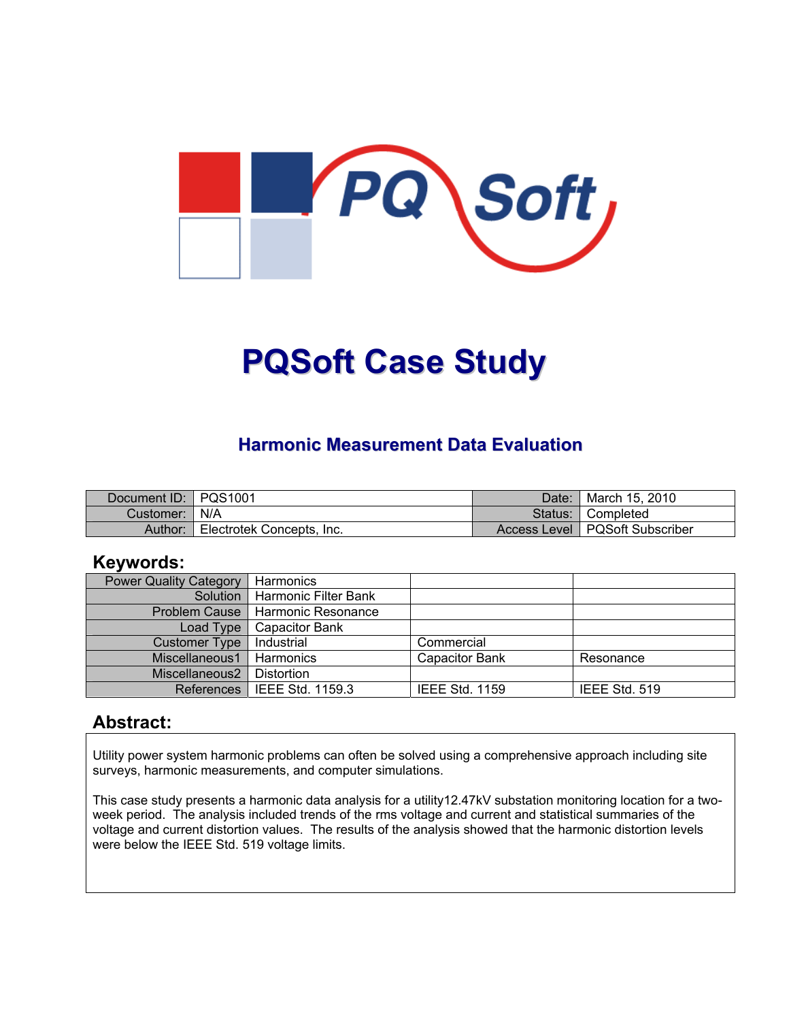

# **PQSoft Case Study**

### **Harmonic Measurement Data Evaluation**

| Document ID:   PQS1001 |                           | Date: | <sup>1</sup> March 15, 2010      |
|------------------------|---------------------------|-------|----------------------------------|
| Customer:   N/A        |                           |       | Status: Completed                |
| Author:                | Electrotek Concepts, Inc. |       | Access Level   PQSoft Subscriber |

#### **Keywords:**

| <b>Power Quality Category</b> | Harmonics                     |                       |               |
|-------------------------------|-------------------------------|-----------------------|---------------|
| Solution                      | Harmonic Filter Bank          |                       |               |
| <b>Problem Cause</b>          | l Harmonic Resonance          |                       |               |
| Load Type                     | <b>Capacitor Bank</b>         |                       |               |
| <b>Customer Type</b>          | Industrial                    | Commercial            |               |
| Miscellaneous1                | Harmonics                     | <b>Capacitor Bank</b> | Resonance     |
| Miscellaneous2                | Distortion                    |                       |               |
|                               | References   IEEE Std. 1159.3 | <b>IEEE Std. 1159</b> | IEEE Std. 519 |

#### **Abstract:**

Utility power system harmonic problems can often be solved using a comprehensive approach including site surveys, harmonic measurements, and computer simulations.

This case study presents a harmonic data analysis for a utility12.47kV substation monitoring location for a twoweek period. The analysis included trends of the rms voltage and current and statistical summaries of the voltage and current distortion values. The results of the analysis showed that the harmonic distortion levels were below the IEEE Std. 519 voltage limits.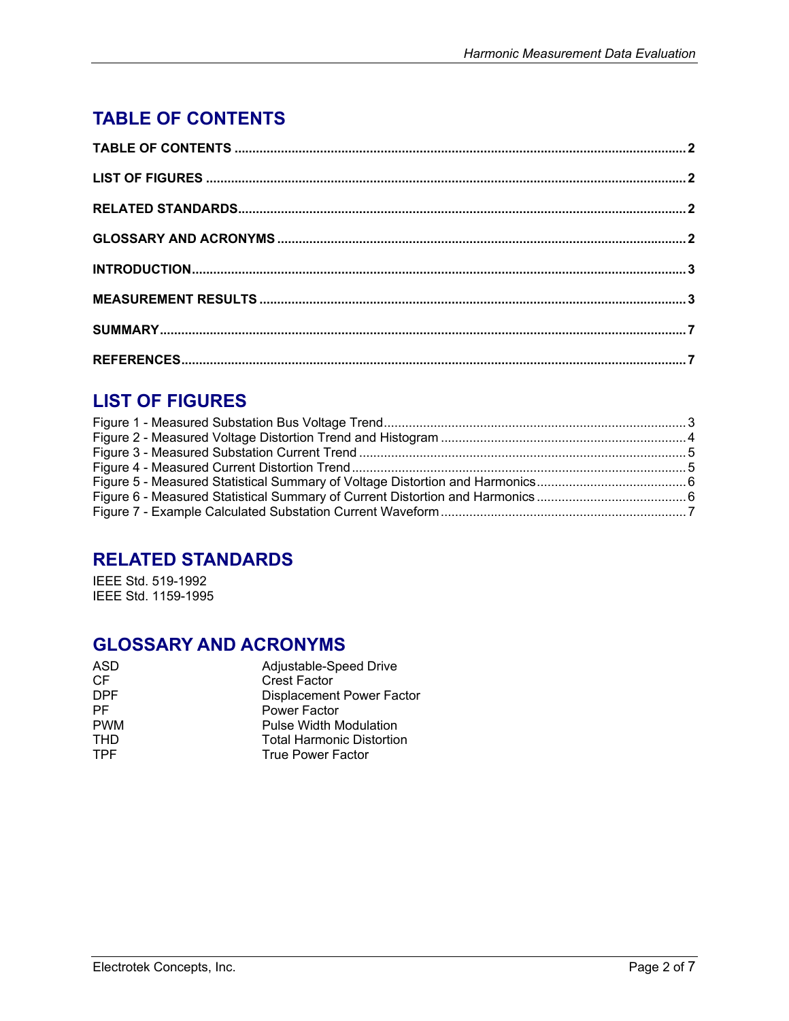# <span id="page-1-0"></span>**TABLE OF CONTENTS**

## **LIST OF FIGURES**

## **RELATED STANDARDS**

IEEE Std. 519-1992 IEEE Std. 1159-1995

## **GLOSSARY AND ACRONYMS**

| ASD        | Adjustable-Speed Drive           |
|------------|----------------------------------|
| CF         | <b>Crest Factor</b>              |
| DPF        | Displacement Power Factor        |
| РF         | Power Factor                     |
| <b>PWM</b> | <b>Pulse Width Modulation</b>    |
| <b>THD</b> | <b>Total Harmonic Distortion</b> |
| <b>TPF</b> | <b>True Power Factor</b>         |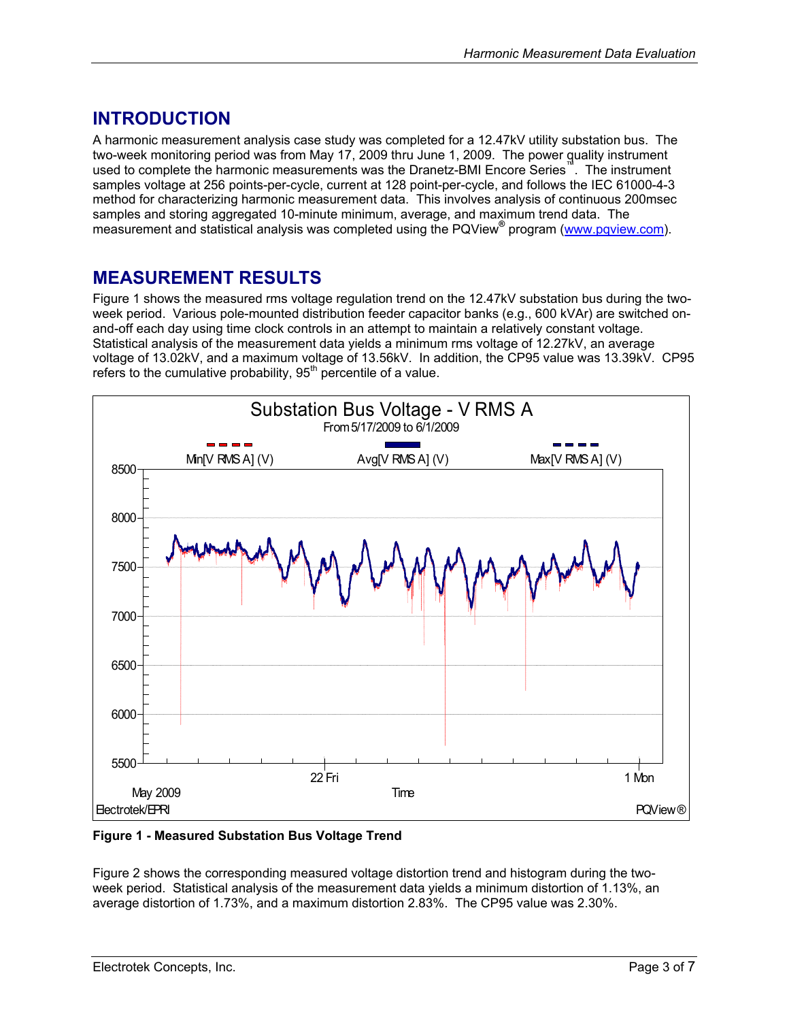## <span id="page-2-0"></span>**INTRODUCTION**

A harmonic measurement analysis case study was completed for a 12.47kV utility substation bus. The two-week monitoring period was from May 17, 2009 thru June 1, 2009. The power quality instrument used to complete the harmonic measurements was the Dranetz-BMI Encore Series™. The instrument samples voltage at 256 points-per-cycle, current at 128 point-per-cycle, and follows the IEC 61000-4-3 method for characterizing harmonic measurement data. This involves analysis of continuous 200msec samples and storing aggregated 10-minute minimum, average, and maximum trend data. The measurement and statistical analysis was completed using the PQView<sup>®</sup> program [\(www.pqview.com](http://www.pqview.com/)).

## **MEASUREMENT RESULTS**

[Figure 1](#page-2-1) shows the measured rms voltage regulation trend on the 12.47kV substation bus during the twoweek period. Various pole-mounted distribution feeder capacitor banks (e.g., 600 kVAr) are switched onand-off each day using time clock controls in an attempt to maintain a relatively constant voltage. Statistical analysis of the measurement data yields a minimum rms voltage of 12.27kV, an average voltage of 13.02kV, and a maximum voltage of 13.56kV. In addition, the CP95 value was 13.39kV. CP95 refers to the cumulative probability,  $95<sup>th</sup>$  percentile of a value.

<span id="page-2-1"></span>

**Figure 1 - Measured Substation Bus Voltage Trend** 

[Figure 2](#page-3-1) shows the corresponding measured voltage distortion trend and histogram during the twoweek period. Statistical analysis of the measurement data yields a minimum distortion of 1.13%, an average distortion of 1.73%, and a maximum distortion 2.83%. The CP95 value was 2.30%.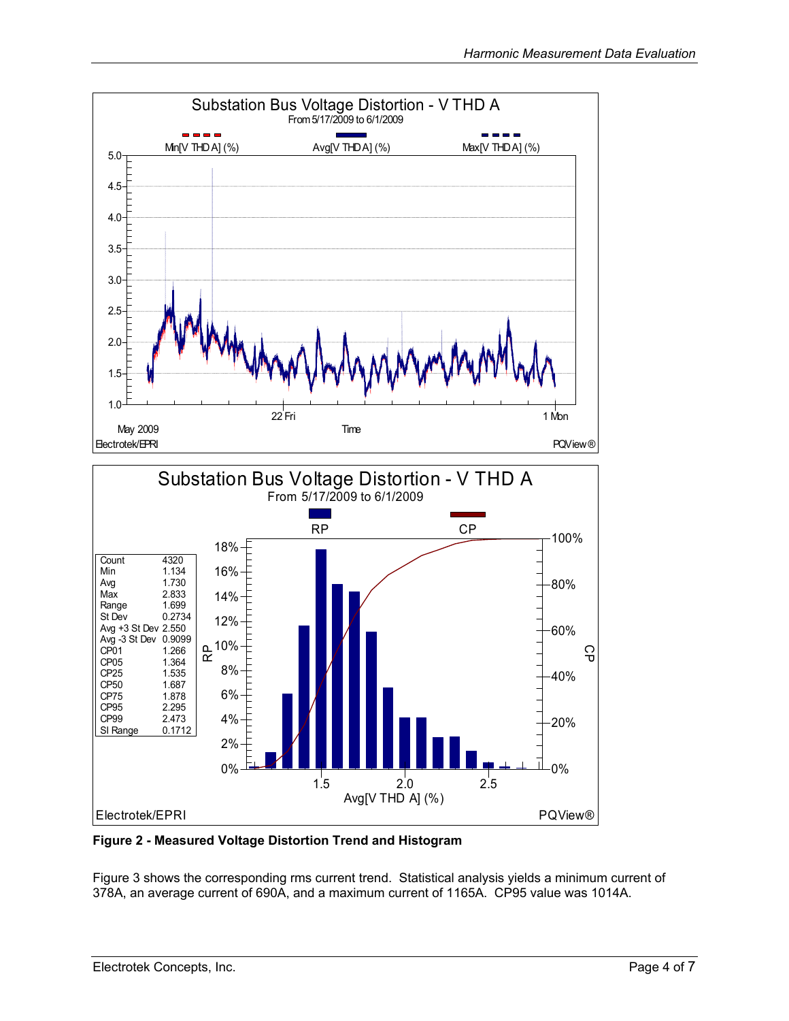<span id="page-3-0"></span>

<span id="page-3-1"></span>**Figure 2 - Measured Voltage Distortion Trend and Histogram** 

[Figure 3](#page-4-1) shows the corresponding rms current trend. Statistical analysis yields a minimum current of 378A, an average current of 690A, and a maximum current of 1165A. CP95 value was 1014A.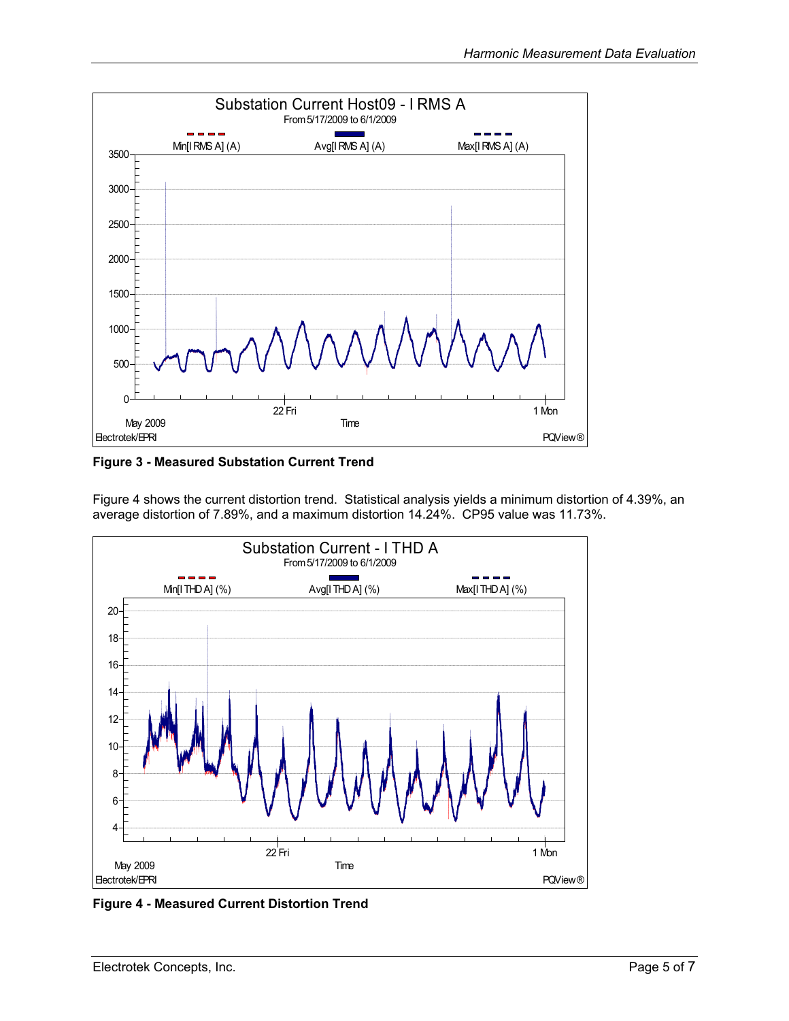<span id="page-4-1"></span><span id="page-4-0"></span>

**Figure 3 - Measured Substation Current Trend** 

[Figure 4](#page-4-2) shows the current distortion trend. Statistical analysis yields a minimum distortion of 4.39%, an average distortion of 7.89%, and a maximum distortion 14.24%. CP95 value was 11.73%.

<span id="page-4-2"></span>

**Figure 4 - Measured Current Distortion Trend**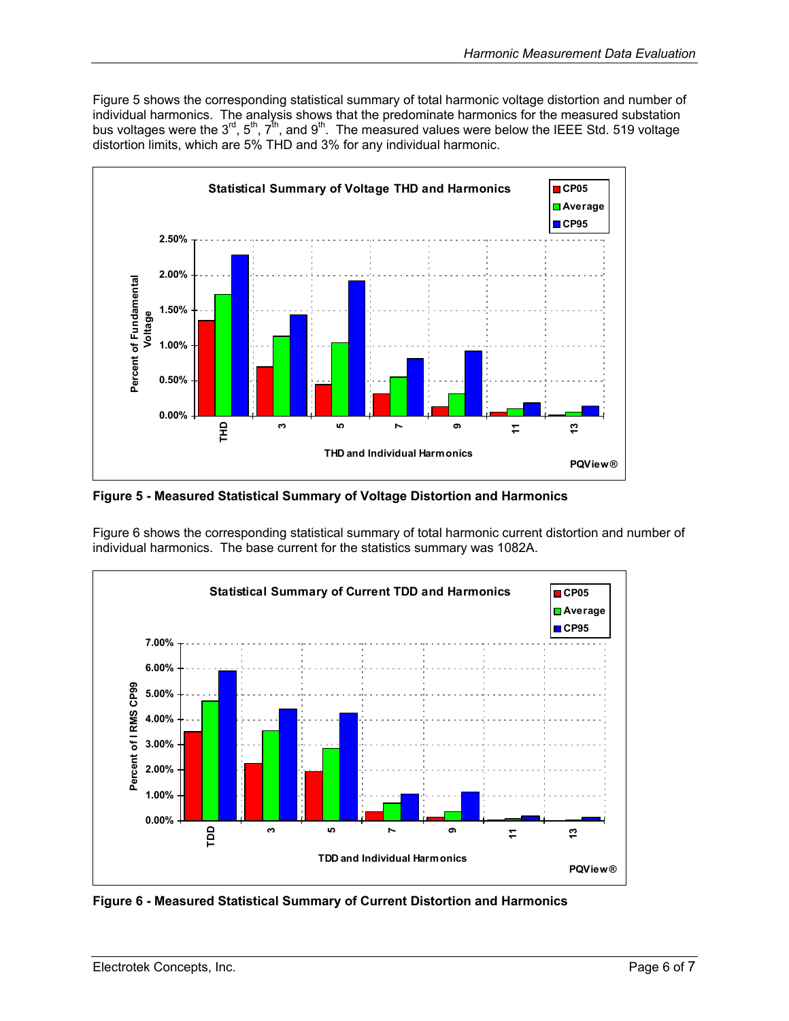<span id="page-5-0"></span>[Figure 5](#page-5-1) shows the corresponding statistical summary of total harmonic voltage distortion and number of individual harmonics. The analysis shows that the predominate harmonics for the measured substation bus voltages were the 3<sup>rd</sup>, 5<sup>th</sup>, 7<sup>th</sup>, and 9<sup>th</sup>. The measured values were below the IEEE Std. 519 voltage distortion limits, which are 5% THD and 3% for any individual harmonic.

<span id="page-5-1"></span>

**Figure 5 - Measured Statistical Summary of Voltage Distortion and Harmonics** 

[Figure 6](#page-5-2) shows the corresponding statistical summary of total harmonic current distortion and number of individual harmonics. The base current for the statistics summary was 1082A.

<span id="page-5-2"></span>

**Figure 6 - Measured Statistical Summary of Current Distortion and Harmonics**